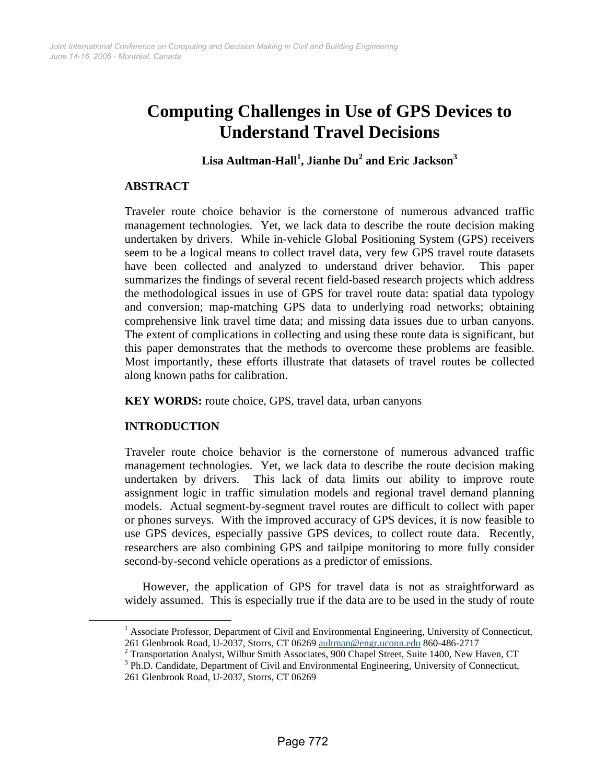# **Computing Challenges in Use of GPS Devices to Understand Travel Decisions**

## $\boldsymbol{\mathrm{Lisa\text{~Aultman-Hall}^1, Jianhe\text{~Du}^2}$  and  $\boldsymbol{\mathrm{Eric\text{~Jacks}}^3}$

#### **ABSTRACT**

Traveler route choice behavior is the cornerstone of numerous advanced traffic management technologies. Yet, we lack data to describe the route decision making undertaken by drivers. While in-vehicle Global Positioning System (GPS) receivers seem to be a logical means to collect travel data, very few GPS travel route datasets have been collected and analyzed to understand driver behavior. This paper summarizes the findings of several recent field-based research projects which address the methodological issues in use of GPS for travel route data: spatial data typology and conversion; map-matching GPS data to underlying road networks; obtaining comprehensive link travel time data; and missing data issues due to urban canyons. The extent of complications in collecting and using these route data is significant, but this paper demonstrates that the methods to overcome these problems are feasible. Most importantly, these efforts illustrate that datasets of travel routes be collected along known paths for calibration.

**KEY WORDS:** route choice, GPS, travel data, urban canyons

## **INTRODUCTION**

Traveler route choice behavior is the cornerstone of numerous advanced traffic management technologies. Yet, we lack data to describe the route decision making undertaken by drivers. This lack of data limits our ability to improve route assignment logic in traffic simulation models and regional travel demand planning models. Actual segment-by-segment travel routes are difficult to collect with paper or phones surveys. With the improved accuracy of GPS devices, it is now feasible to use GPS devices, especially passive GPS devices, to collect route data. Recently, researchers are also combining GPS and tailpipe monitoring to more fully consider second-by-second vehicle operations as a predictor of emissions.

However, the application of GPS for travel data is not as straightforward as widely assumed. This is especially true if the data are to be used in the study of route

 $\frac{1}{1}$ <sup>1</sup> Associate Professor, Department of Civil and Environmental Engineering, University of Connecticut, 261 Glenbrook Road, U-2037, Storrs, CT 06269 aultman@engr.uconn.edu 860-486-2717 2

 $2$  Transportation Analyst, Wilbur Smith Associates, 900 Chapel Street, Suite 1400, New Haven, CT

<sup>&</sup>lt;sup>3</sup> Ph.D. Candidate, Department of Civil and Environmental Engineering, University of Connecticut, 261 Glenbrook Road, U-2037, Storrs, CT 06269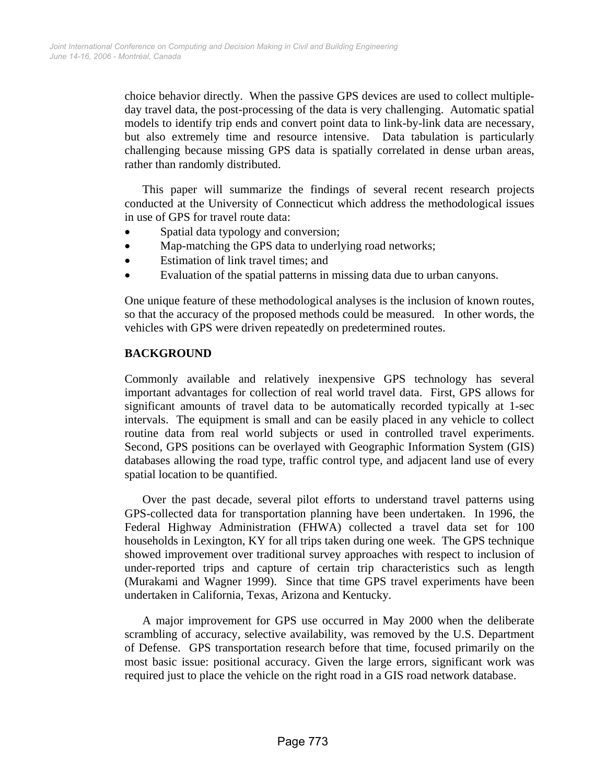choice behavior directly. When the passive GPS devices are used to collect multipleday travel data, the post-processing of the data is very challenging. Automatic spatial models to identify trip ends and convert point data to link-by-link data are necessary, but also extremely time and resource intensive. Data tabulation is particularly challenging because missing GPS data is spatially correlated in dense urban areas, rather than randomly distributed.

This paper will summarize the findings of several recent research projects conducted at the University of Connecticut which address the methodological issues in use of GPS for travel route data:

- Spatial data typology and conversion;
- Map-matching the GPS data to underlying road networks;
- Estimation of link travel times; and
- Evaluation of the spatial patterns in missing data due to urban canyons.

One unique feature of these methodological analyses is the inclusion of known routes, so that the accuracy of the proposed methods could be measured. In other words, the vehicles with GPS were driven repeatedly on predetermined routes.

## **BACKGROUND**

Commonly available and relatively inexpensive GPS technology has several important advantages for collection of real world travel data. First, GPS allows for significant amounts of travel data to be automatically recorded typically at 1-sec intervals. The equipment is small and can be easily placed in any vehicle to collect routine data from real world subjects or used in controlled travel experiments. Second, GPS positions can be overlayed with Geographic Information System (GIS) databases allowing the road type, traffic control type, and adjacent land use of every spatial location to be quantified.

Over the past decade, several pilot efforts to understand travel patterns using GPS-collected data for transportation planning have been undertaken. In 1996, the Federal Highway Administration (FHWA) collected a travel data set for 100 households in Lexington, KY for all trips taken during one week. The GPS technique showed improvement over traditional survey approaches with respect to inclusion of under-reported trips and capture of certain trip characteristics such as length (Murakami and Wagner 1999). Since that time GPS travel experiments have been undertaken in California, Texas, Arizona and Kentucky.

A major improvement for GPS use occurred in May 2000 when the deliberate scrambling of accuracy, selective availability, was removed by the U.S. Department of Defense. GPS transportation research before that time, focused primarily on the most basic issue: positional accuracy. Given the large errors, significant work was required just to place the vehicle on the right road in a GIS road network database.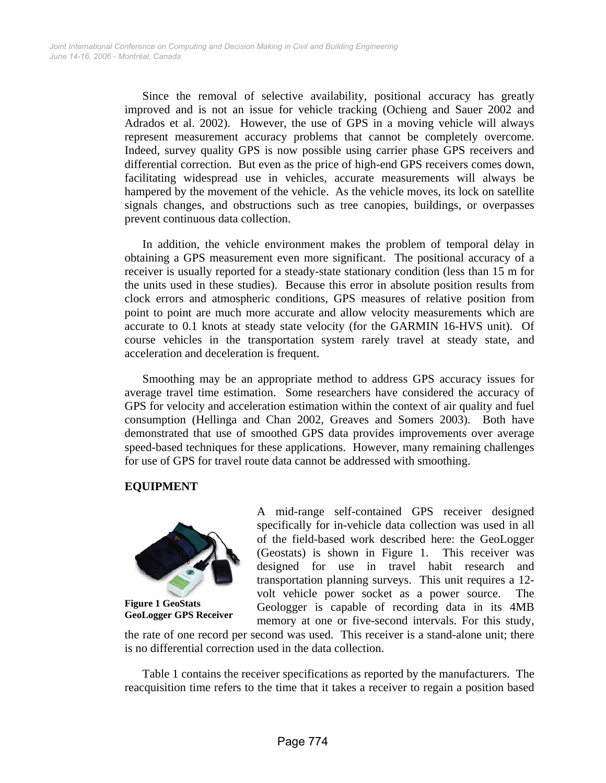Since the removal of selective availability, positional accuracy has greatly improved and is not an issue for vehicle tracking (Ochieng and Sauer 2002 and Adrados et al. 2002). However, the use of GPS in a moving vehicle will always represent measurement accuracy problems that cannot be completely overcome. Indeed, survey quality GPS is now possible using carrier phase GPS receivers and differential correction. But even as the price of high-end GPS receivers comes down, facilitating widespread use in vehicles, accurate measurements will always be hampered by the movement of the vehicle. As the vehicle moves, its lock on satellite signals changes, and obstructions such as tree canopies, buildings, or overpasses prevent continuous data collection.

In addition, the vehicle environment makes the problem of temporal delay in obtaining a GPS measurement even more significant. The positional accuracy of a receiver is usually reported for a steady-state stationary condition (less than 15 m for the units used in these studies). Because this error in absolute position results from clock errors and atmospheric conditions, GPS measures of relative position from point to point are much more accurate and allow velocity measurements which are accurate to 0.1 knots at steady state velocity (for the GARMIN 16-HVS unit). Of course vehicles in the transportation system rarely travel at steady state, and acceleration and deceleration is frequent.

Smoothing may be an appropriate method to address GPS accuracy issues for average travel time estimation. Some researchers have considered the accuracy of GPS for velocity and acceleration estimation within the context of air quality and fuel consumption (Hellinga and Chan 2002, Greaves and Somers 2003). Both have demonstrated that use of smoothed GPS data provides improvements over average speed-based techniques for these applications. However, many remaining challenges for use of GPS for travel route data cannot be addressed with smoothing.

## **EQUIPMENT**



**Figure 1 GeoStats GeoLogger GPS Receiver**  A mid-range self-contained GPS receiver designed specifically for in-vehicle data collection was used in all of the field-based work described here: the GeoLogger (Geostats) is shown in Figure 1. This receiver was designed for use in travel habit research and transportation planning surveys. This unit requires a 12 volt vehicle power socket as a power source. The Geologger is capable of recording data in its 4MB memory at one or five-second intervals. For this study,

the rate of one record per second was used. This receiver is a stand-alone unit; there is no differential correction used in the data collection.

Table 1 contains the receiver specifications as reported by the manufacturers. The reacquisition time refers to the time that it takes a receiver to regain a position based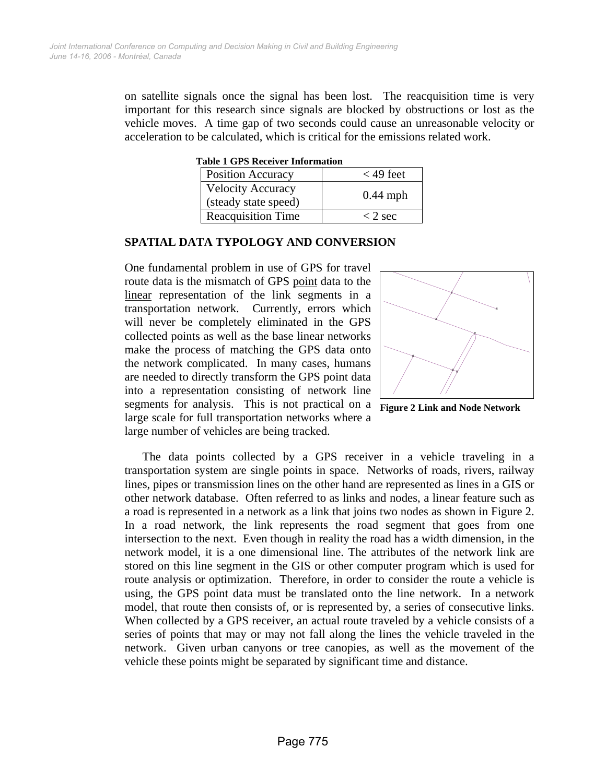on satellite signals once the signal has been lost. The reacquisition time is very important for this research since signals are blocked by obstructions or lost as the vehicle moves. A time gap of two seconds could cause an unreasonable velocity or acceleration to be calculated, which is critical for the emissions related work.

**Table 1 GPS Receiver Information** 

| <b>Position Accuracy</b>                         | $<$ 49 feet |
|--------------------------------------------------|-------------|
| <b>Velocity Accuracy</b><br>(steady state speed) | $0.44$ mph  |
| <b>Reacquisition Time</b>                        | $<$ 2 sec   |

#### **SPATIAL DATA TYPOLOGY AND CONVERSION**

One fundamental problem in use of GPS for travel route data is the mismatch of GPS point data to the linear representation of the link segments in a transportation network. Currently, errors which will never be completely eliminated in the GPS collected points as well as the base linear networks make the process of matching the GPS data onto the network complicated. In many cases, humans are needed to directly transform the GPS point data into a representation consisting of network line segments for analysis. This is not practical on a large scale for full transportation networks where a large number of vehicles are being tracked.





The data points collected by a GPS receiver in a vehicle traveling in a transportation system are single points in space. Networks of roads, rivers, railway lines, pipes or transmission lines on the other hand are represented as lines in a GIS or other network database. Often referred to as links and nodes, a linear feature such as a road is represented in a network as a link that joins two nodes as shown in Figure 2. In a road network, the link represents the road segment that goes from one intersection to the next. Even though in reality the road has a width dimension, in the network model, it is a one dimensional line. The attributes of the network link are stored on this line segment in the GIS or other computer program which is used for route analysis or optimization. Therefore, in order to consider the route a vehicle is using, the GPS point data must be translated onto the line network. In a network model, that route then consists of, or is represented by, a series of consecutive links. When collected by a GPS receiver, an actual route traveled by a vehicle consists of a series of points that may or may not fall along the lines the vehicle traveled in the network. Given urban canyons or tree canopies, as well as the movement of the vehicle these points might be separated by significant time and distance.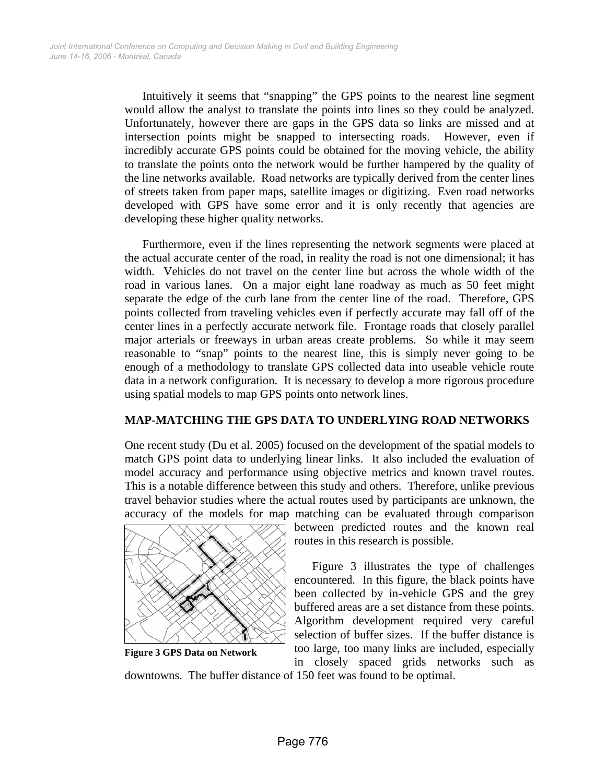Intuitively it seems that "snapping" the GPS points to the nearest line segment would allow the analyst to translate the points into lines so they could be analyzed. Unfortunately, however there are gaps in the GPS data so links are missed and at intersection points might be snapped to intersecting roads. However, even if incredibly accurate GPS points could be obtained for the moving vehicle, the ability to translate the points onto the network would be further hampered by the quality of the line networks available. Road networks are typically derived from the center lines of streets taken from paper maps, satellite images or digitizing. Even road networks developed with GPS have some error and it is only recently that agencies are developing these higher quality networks.

Furthermore, even if the lines representing the network segments were placed at the actual accurate center of the road, in reality the road is not one dimensional; it has width. Vehicles do not travel on the center line but across the whole width of the road in various lanes. On a major eight lane roadway as much as 50 feet might separate the edge of the curb lane from the center line of the road. Therefore, GPS points collected from traveling vehicles even if perfectly accurate may fall off of the center lines in a perfectly accurate network file. Frontage roads that closely parallel major arterials or freeways in urban areas create problems. So while it may seem reasonable to "snap" points to the nearest line, this is simply never going to be enough of a methodology to translate GPS collected data into useable vehicle route data in a network configuration. It is necessary to develop a more rigorous procedure using spatial models to map GPS points onto network lines.

## **MAP-MATCHING THE GPS DATA TO UNDERLYING ROAD NETWORKS**

One recent study (Du et al. 2005) focused on the development of the spatial models to match GPS point data to underlying linear links. It also included the evaluation of model accuracy and performance using objective metrics and known travel routes. This is a notable difference between this study and others. Therefore, unlike previous travel behavior studies where the actual routes used by participants are unknown, the accuracy of the models for map matching can be evaluated through comparison



**Figure 3 GPS Data on Network** 

between predicted routes and the known real routes in this research is possible.

Figure 3 illustrates the type of challenges encountered. In this figure, the black points have been collected by in-vehicle GPS and the grey buffered areas are a set distance from these points. Algorithm development required very careful selection of buffer sizes. If the buffer distance is too large, too many links are included, especially in closely spaced grids networks such as

downtowns. The buffer distance of 150 feet was found to be optimal.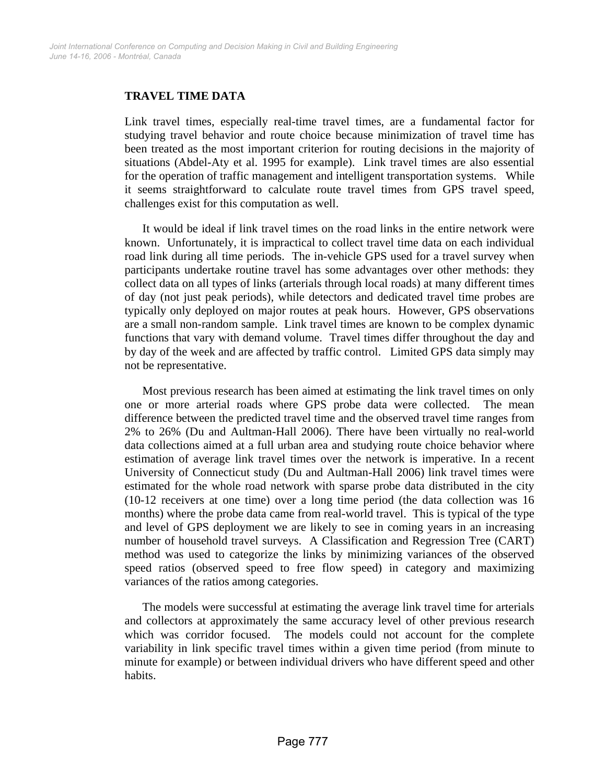#### **TRAVEL TIME DATA**

Link travel times, especially real-time travel times, are a fundamental factor for studying travel behavior and route choice because minimization of travel time has been treated as the most important criterion for routing decisions in the majority of situations (Abdel-Aty et al. 1995 for example). Link travel times are also essential for the operation of traffic management and intelligent transportation systems. While it seems straightforward to calculate route travel times from GPS travel speed, challenges exist for this computation as well.

It would be ideal if link travel times on the road links in the entire network were known. Unfortunately, it is impractical to collect travel time data on each individual road link during all time periods. The in-vehicle GPS used for a travel survey when participants undertake routine travel has some advantages over other methods: they collect data on all types of links (arterials through local roads) at many different times of day (not just peak periods), while detectors and dedicated travel time probes are typically only deployed on major routes at peak hours. However, GPS observations are a small non-random sample. Link travel times are known to be complex dynamic functions that vary with demand volume. Travel times differ throughout the day and by day of the week and are affected by traffic control. Limited GPS data simply may not be representative.

Most previous research has been aimed at estimating the link travel times on only one or more arterial roads where GPS probe data were collected. The mean difference between the predicted travel time and the observed travel time ranges from 2% to 26% (Du and Aultman-Hall 2006). There have been virtually no real-world data collections aimed at a full urban area and studying route choice behavior where estimation of average link travel times over the network is imperative. In a recent University of Connecticut study (Du and Aultman-Hall 2006) link travel times were estimated for the whole road network with sparse probe data distributed in the city (10-12 receivers at one time) over a long time period (the data collection was 16 months) where the probe data came from real-world travel. This is typical of the type and level of GPS deployment we are likely to see in coming years in an increasing number of household travel surveys. A Classification and Regression Tree (CART) method was used to categorize the links by minimizing variances of the observed speed ratios (observed speed to free flow speed) in category and maximizing variances of the ratios among categories.

The models were successful at estimating the average link travel time for arterials and collectors at approximately the same accuracy level of other previous research which was corridor focused. The models could not account for the complete variability in link specific travel times within a given time period (from minute to minute for example) or between individual drivers who have different speed and other habits.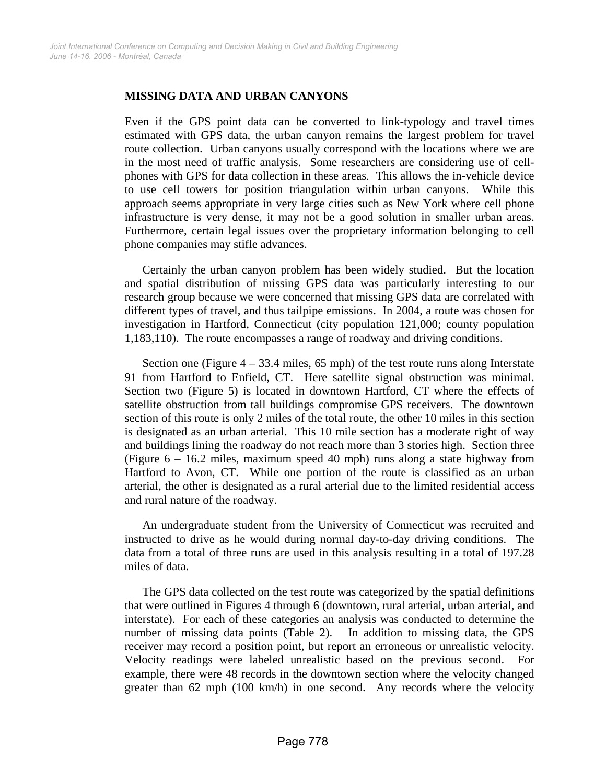#### **MISSING DATA AND URBAN CANYONS**

Even if the GPS point data can be converted to link-typology and travel times estimated with GPS data, the urban canyon remains the largest problem for travel route collection. Urban canyons usually correspond with the locations where we are in the most need of traffic analysis. Some researchers are considering use of cellphones with GPS for data collection in these areas. This allows the in-vehicle device to use cell towers for position triangulation within urban canyons. While this approach seems appropriate in very large cities such as New York where cell phone infrastructure is very dense, it may not be a good solution in smaller urban areas. Furthermore, certain legal issues over the proprietary information belonging to cell phone companies may stifle advances.

Certainly the urban canyon problem has been widely studied. But the location and spatial distribution of missing GPS data was particularly interesting to our research group because we were concerned that missing GPS data are correlated with different types of travel, and thus tailpipe emissions. In 2004, a route was chosen for investigation in Hartford, Connecticut (city population 121,000; county population 1,183,110). The route encompasses a range of roadway and driving conditions.

Section one (Figure  $4 - 33.4$  miles, 65 mph) of the test route runs along Interstate 91 from Hartford to Enfield, CT. Here satellite signal obstruction was minimal. Section two (Figure 5) is located in downtown Hartford, CT where the effects of satellite obstruction from tall buildings compromise GPS receivers. The downtown section of this route is only 2 miles of the total route, the other 10 miles in this section is designated as an urban arterial. This 10 mile section has a moderate right of way and buildings lining the roadway do not reach more than 3 stories high. Section three (Figure 6 – 16.2 miles, maximum speed 40 mph) runs along a state highway from Hartford to Avon, CT. While one portion of the route is classified as an urban arterial, the other is designated as a rural arterial due to the limited residential access and rural nature of the roadway.

An undergraduate student from the University of Connecticut was recruited and instructed to drive as he would during normal day-to-day driving conditions. The data from a total of three runs are used in this analysis resulting in a total of 197.28 miles of data.

The GPS data collected on the test route was categorized by the spatial definitions that were outlined in Figures 4 through 6 (downtown, rural arterial, urban arterial, and interstate). For each of these categories an analysis was conducted to determine the number of missing data points (Table 2). In addition to missing data, the GPS receiver may record a position point, but report an erroneous or unrealistic velocity. Velocity readings were labeled unrealistic based on the previous second. example, there were 48 records in the downtown section where the velocity changed greater than 62 mph (100 km/h) in one second. Any records where the velocity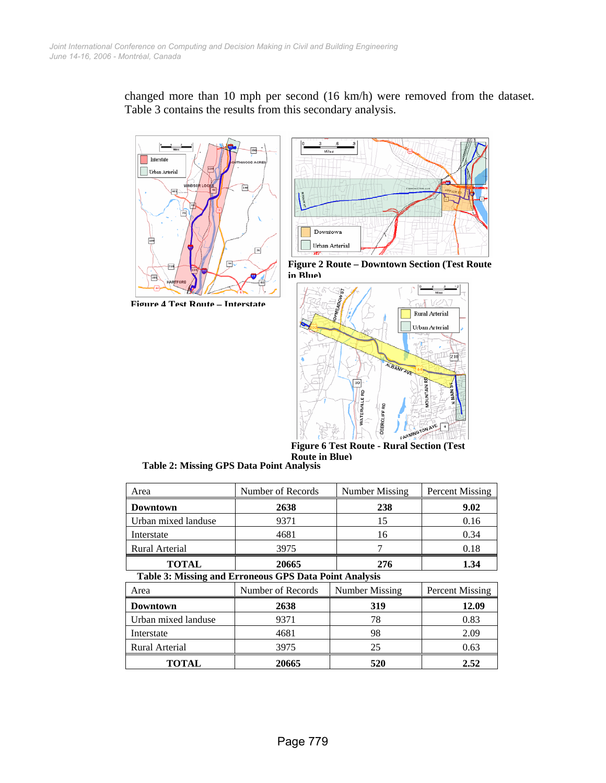

changed more than 10 mph per second (16 km/h) were removed from the dataset. Table 3 contains the results from this secondary analysis.

**Figure 4 Test Route – Interstate**







**Figure 6 Test Route - Rural Section (Test Route in Blue)**

**Table 2: Missing GPS Data Point Analysis** 

| Area                                                          | Number of Records                   | <b>Number Missing</b> | <b>Percent Missing</b> |  |  |  |  |
|---------------------------------------------------------------|-------------------------------------|-----------------------|------------------------|--|--|--|--|
| <b>Downtown</b>                                               | 2638                                | 238                   | 9.02                   |  |  |  |  |
| Urban mixed landuse                                           | 9371                                | 15                    | 0.16                   |  |  |  |  |
| Interstate                                                    | 4681                                | 16                    | 0.34                   |  |  |  |  |
| Rural Arterial                                                | 3975                                | 0.18                  |                        |  |  |  |  |
| <b>TOTAL</b>                                                  | 20665<br>276                        |                       | 1.34                   |  |  |  |  |
| <b>Table 3: Missing and Erroneous GPS Data Point Analysis</b> |                                     |                       |                        |  |  |  |  |
| Area                                                          | Number of Records<br>Number Missing |                       | Percent Missing        |  |  |  |  |
| Downtown                                                      | 2638                                | 319                   | 12.09                  |  |  |  |  |
| Urban mixed landuse                                           | 9371                                | 78                    | 0.83                   |  |  |  |  |
| Interstate                                                    | 4681                                | 98                    | 2.09                   |  |  |  |  |
| <b>Rural Arterial</b>                                         | 3975                                | 25                    | 0.63                   |  |  |  |  |
| TOTAL                                                         | 20665                               | 520                   | 2.52                   |  |  |  |  |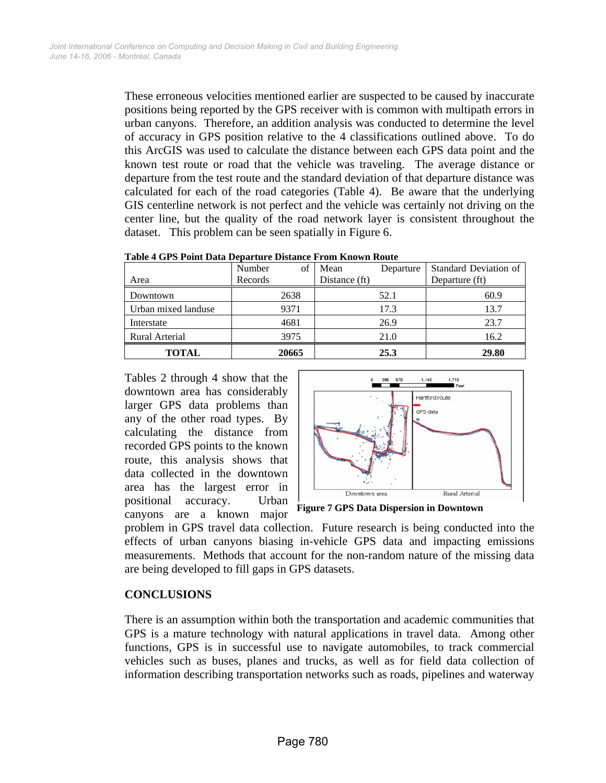These erroneous velocities mentioned earlier are suspected to be caused by inaccurate positions being reported by the GPS receiver with is common with multipath errors in urban canyons. Therefore, an addition analysis was conducted to determine the level of accuracy in GPS position relative to the 4 classifications outlined above. To do this ArcGIS was used to calculate the distance between each GPS data point and the known test route or road that the vehicle was traveling. The average distance or departure from the test route and the standard deviation of that departure distance was calculated for each of the road categories (Table 4). Be aware that the underlying GIS centerline network is not perfect and the vehicle was certainly not driving on the center line, but the quality of the road network layer is consistent throughout the dataset. This problem can be seen spatially in Figure 6.

|                     | Number  | of    | Mean          | Departure | <b>Standard Deviation of</b> |
|---------------------|---------|-------|---------------|-----------|------------------------------|
| Area                | Records |       | Distance (ft) |           | Departure (ft)               |
| Downtown            |         | 2638  |               | 52.1      | 60.9                         |
| Urban mixed landuse |         | 9371  |               | 17.3      | 13.7                         |
| Interstate          |         | 4681  |               | 26.9      | 23.7                         |
| Rural Arterial      |         | 3975  |               | 21.0      | 16.2                         |
| <b>TOTAL</b>        |         | 20665 |               | 25.3      | 29.80                        |

**Table 4 GPS Point Data Departure Distance From Known Route** 

Tables 2 through 4 show that the downtown area has considerably larger GPS data problems than any of the other road types. By calculating the distance from recorded GPS points to the known route, this analysis shows that data collected in the downtown area has the largest error in positional accuracy. Urban canyons are a known major



**Figure 7 GPS Data Dispersion in Downtown** 

problem in GPS travel data collection. Future research is being conducted into the effects of urban canyons biasing in-vehicle GPS data and impacting emissions measurements. Methods that account for the non-random nature of the missing data are being developed to fill gaps in GPS datasets.

## **CONCLUSIONS**

There is an assumption within both the transportation and academic communities that GPS is a mature technology with natural applications in travel data. Among other functions, GPS is in successful use to navigate automobiles, to track commercial vehicles such as buses, planes and trucks, as well as for field data collection of information describing transportation networks such as roads, pipelines and waterway